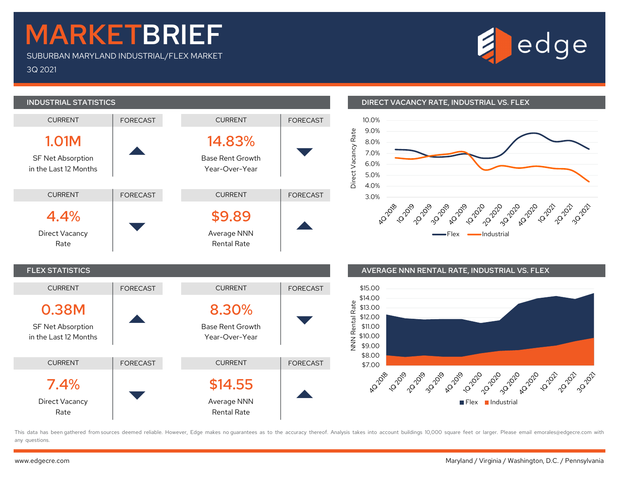## MARKETBRIEF

SUBURBAN MARYLAND INDUSTRIAL/FLEX MARKET

3Q 2021

# edge



### INDUSTRIAL STATISTICS DIRECT VACANCY RATE, INDUSTRIAL VS. FLEX



#### FLEX STATISTICS AVERAGE NNN RENTAL RATE, INDUSTRIAL VS. FLEX



This data has been gathered from sources deemed reliable. However, Edge makes no quarantees as to the accuracy thereof. Analysis takes into account buildings 10,000 square feet or larger. Please email emorales@edgecre.com any questions.